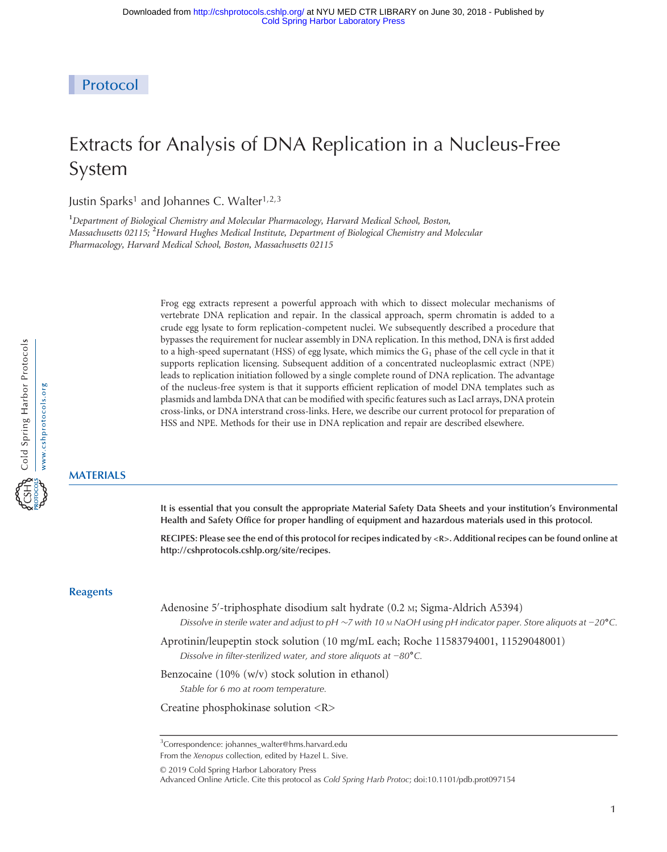Protocol

# Extracts for Analysis of DNA Replication in a Nucleus-Free System

Justin Sparks<sup>1</sup> and Johannes C. Walter<sup>1,2,3</sup>

<sup>1</sup>Department of Biological Chemistry and Molecular Pharmacology, Harvard Medical School, Boston, Massachusetts 02115; <sup>2</sup>Howard Hughes Medical Institute, Department of Biological Chemistry and Molecular Pharmacology, Harvard Medical School, Boston, Massachusetts 02115

> Frog egg extracts represent a powerful approach with which to dissect molecular mechanisms of vertebrate DNA replication and repair. In the classical approach, sperm chromatin is added to a crude egg lysate to form replication-competent nuclei. We subsequently described a procedure that bypasses the requirement for nuclear assembly in DNA replication. In this method, DNA is first added to a high-speed supernatant (HSS) of egg lysate, which mimics the  $G_1$  phase of the cell cycle in that it supports replication licensing. Subsequent addition of a concentrated nucleoplasmic extract (NPE) leads to replication initiation followed by a single complete round of DNA replication. The advantage of the nucleus-free system is that it supports efficient replication of model DNA templates such as plasmids and lambda DNA that can be modified with specific features such as LacI arrays, DNA protein cross-links, or DNA interstrand cross-links. Here, we describe our current protocol for preparation of HSS and NPE. Methods for their use in DNA replication and repair are described elsewhere.

## MATERIALS

It is essential that you consult the appropriate Material Safety Data Sheets and your institution's Environmental Health and Safety Office for proper handling of equipment and hazardous materials used in this protocol.

RECIPES: Please see the end of this protocol for recipes indicated by <R>. Additional recipes can be found online at http://cshprotocols.cshlp.org/site/recipes.

## **Reagents**

- Adenosine 5′ -triphosphate disodium salt hydrate (0.2 M; Sigma-Aldrich A5394) Dissolve in sterile water and adjust to pH ~7 with 10 M NaOH using pH indicator paper. Store aliquots at −20°C.
- Aprotinin/leupeptin stock solution (10 mg/mL each; Roche 11583794001, 11529048001) Dissolve in filter-sterilized water, and store aliquots at <sup>−</sup><sup>80</sup>˚C.
- Benzocaine (10% (w/v) stock solution in ethanol) Stable for 6 mo at room temperature.
- Creatine phosphokinase solution <R>

[© 2019 Cold Spring Harbor Laboratory Press](http://cshprotocols.cshlp.org/site/misc/terms.xhtml)

<sup>&</sup>lt;sup>3</sup>Correspondence: [johannes\\_walter@hms.harvard.edu](mailto:johannes_walter@hms.harvard.edu)

From the Xenopus collection, edited by Hazel L. Sive.

Advanced Online Article. Cite this protocol as Cold Spring Harb Protoc; doi:10.1101/pdb.prot097154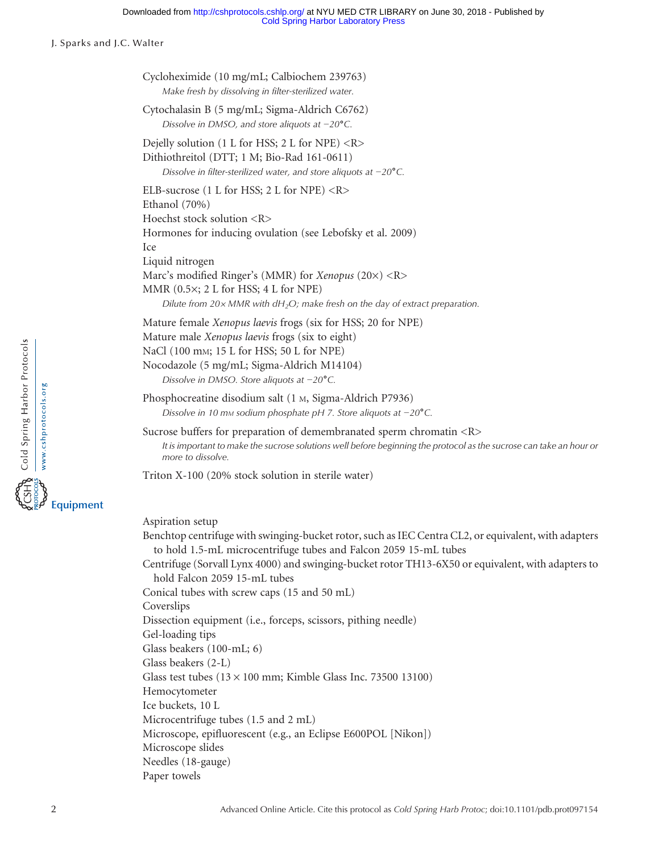#### [Cold Spring Harbor Laboratory Press](http://www.cshlpress.com) Downloaded from<http://cshprotocols.cshlp.org/>at NYU MED CTR LIBRARY on June 30, 2018 - Published by

J. Sparks and J.C. Walter

| Cycloheximide (10 mg/mL; Calbiochem 239763)<br>Make fresh by dissolving in filter-sterilized water.                                                                                |                                                                                                                                                                                                            |
|------------------------------------------------------------------------------------------------------------------------------------------------------------------------------------|------------------------------------------------------------------------------------------------------------------------------------------------------------------------------------------------------------|
| Cytochalasin B (5 mg/mL; Sigma-Aldrich C6762)<br>Dissolve in DMSO, and store aliquots at $-20^{\circ}$ C.                                                                          |                                                                                                                                                                                                            |
| Dejelly solution (1 L for HSS; 2 L for NPE) <r></r>                                                                                                                                |                                                                                                                                                                                                            |
| Dithiothreitol (DTT; 1 M; Bio-Rad 161-0611)                                                                                                                                        |                                                                                                                                                                                                            |
| Dissolve in filter-sterilized water, and store aliquots at $-20^{\circ}$ C.                                                                                                        |                                                                                                                                                                                                            |
| ELB-sucrose (1 L for HSS; 2 L for NPE) $\langle R \rangle$<br>Ethanol (70%)<br>Hoechst stock solution <r></r>                                                                      |                                                                                                                                                                                                            |
| Hormones for inducing ovulation (see Lebofsky et al. 2009)<br>Ice                                                                                                                  |                                                                                                                                                                                                            |
| Liquid nitrogen                                                                                                                                                                    |                                                                                                                                                                                                            |
| Marc's modified Ringer's (MMR) for <i>Xenopus</i> (20×) <r><br/>MMR <math>(0.5\times; 2 L</math> for HSS; 4 L for NPE)</r>                                                         |                                                                                                                                                                                                            |
|                                                                                                                                                                                    | Dilute from $20 \times MMR$ with $dH_2O$ ; make fresh on the day of extract preparation.                                                                                                                   |
| Mature female Xenopus laevis frogs (six for HSS; 20 for NPE)                                                                                                                       |                                                                                                                                                                                                            |
| Mature male Xenopus laevis frogs (six to eight)                                                                                                                                    |                                                                                                                                                                                                            |
| NaCl (100 mm; 15 L for HSS; 50 L for NPE)                                                                                                                                          |                                                                                                                                                                                                            |
| Nocodazole (5 mg/mL; Sigma-Aldrich M14104)                                                                                                                                         |                                                                                                                                                                                                            |
| Dissolve in DMSO. Store aliquots at $-20^{\circ}$ C.                                                                                                                               |                                                                                                                                                                                                            |
| Phosphocreatine disodium salt (1 M, Sigma-Aldrich P7936)<br>Dissolve in 10 mm sodium phosphate pH 7. Store aliquots at $-20^{\circ}$ C.                                            |                                                                                                                                                                                                            |
| Sucrose buffers for preparation of demembranated sperm chromatin <r><br/>more to dissolve.</r>                                                                                     | It is important to make the sucrose solutions well before beginning the protocol as the sucrose can take an hour or                                                                                        |
| Triton X-100 (20% stock solution in sterile water)                                                                                                                                 |                                                                                                                                                                                                            |
| Aspiration setup<br>to hold 1.5-mL microcentrifuge tubes and Falcon 2059 15-mL tubes<br>hold Falcon 2059 15-mL tubes<br>Conical tubes with screw caps (15 and 50 mL)<br>Coverslips | Benchtop centrifuge with swinging-bucket rotor, such as IEC Centra CL2, or equivalent, with adapters<br>Centrifuge (Sorvall Lynx 4000) and swinging-bucket rotor TH13-6X50 or equivalent, with adapters to |
| Dissection equipment (i.e., forceps, scissors, pithing needle)<br>Gel-loading tips                                                                                                 |                                                                                                                                                                                                            |
| Glass beakers (100-mL; 6)                                                                                                                                                          |                                                                                                                                                                                                            |
| Glass beakers (2-L)                                                                                                                                                                |                                                                                                                                                                                                            |
| Glass test tubes $(13 \times 100 \text{ mm})$ ; Kimble Glass Inc. 73500 13100)                                                                                                     |                                                                                                                                                                                                            |
| Hemocytometer                                                                                                                                                                      |                                                                                                                                                                                                            |
| Ice buckets, 10 L                                                                                                                                                                  |                                                                                                                                                                                                            |
| Microcentrifuge tubes (1.5 and 2 mL)                                                                                                                                               |                                                                                                                                                                                                            |
| Microscope, epifluorescent (e.g., an Eclipse E600POL [Nikon])                                                                                                                      |                                                                                                                                                                                                            |
| Microscope slides                                                                                                                                                                  |                                                                                                                                                                                                            |
| Needles (18-gauge)                                                                                                                                                                 |                                                                                                                                                                                                            |
| Paper towels                                                                                                                                                                       |                                                                                                                                                                                                            |

Equipment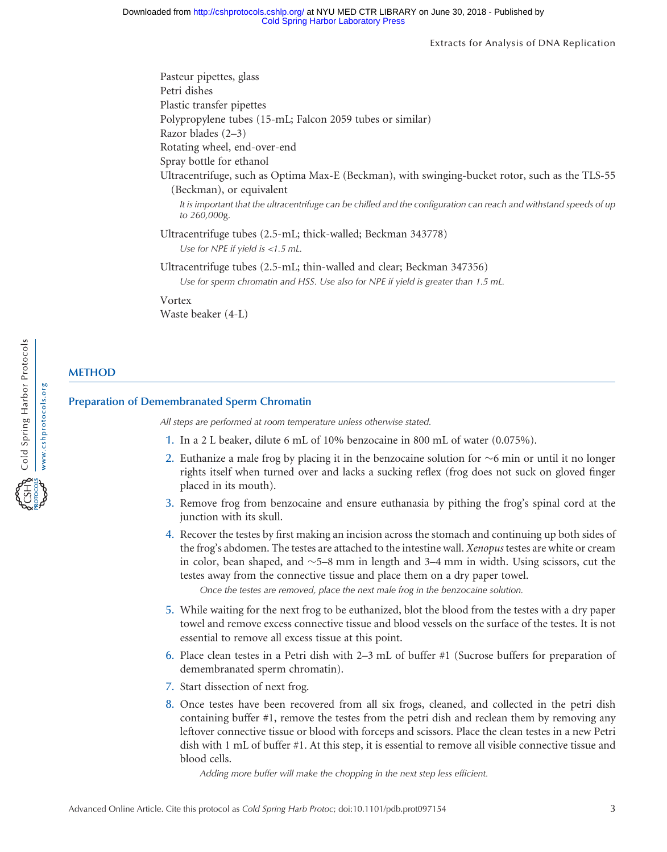Extracts for Analysis of DNA Replication

Pasteur pipettes, glass Petri dishes Plastic transfer pipettes Polypropylene tubes (15-mL; Falcon 2059 tubes or similar) Razor blades (2–3) Rotating wheel, end-over-end Spray bottle for ethanol Ultracentrifuge, such as Optima Max-E (Beckman), with swinging-bucket rotor, such as the TLS-55 (Beckman), or equivalent It is important that the ultracentrifuge can be chilled and the configuration can reach and withstand speeds of up to 260,000g. Ultracentrifuge tubes (2.5-mL; thick-walled; Beckman 343778) Use for NPE if yield is <sup>&</sup>lt;1.5 mL. Ultracentrifuge tubes (2.5-mL; thin-walled and clear; Beckman 347356) Use for sperm chromatin and HSS. Use also for NPE if yield is greater than 1.5 mL. Vortex Waste beaker (4-L)

## **METHOD**

#### Preparation of Demembranated Sperm Chromatin

All steps are performed at room temperature unless otherwise stated.

- 1. In a 2 L beaker, dilute 6 mL of 10% benzocaine in 800 mL of water (0.075%).
- 2. Euthanize a male frog by placing it in the benzocaine solution for  $\sim$ 6 min or until it no longer rights itself when turned over and lacks a sucking reflex (frog does not suck on gloved finger placed in its mouth).
- 3. Remove frog from benzocaine and ensure euthanasia by pithing the frog's spinal cord at the junction with its skull.
- 4. Recover the testes by first making an incision across the stomach and continuing up both sides of the frog's abdomen. The testes are attached to the intestine wall. Xenopus testes are white or cream in color, bean shaped, and  $\sim$  5–8 mm in length and 3–4 mm in width. Using scissors, cut the testes away from the connective tissue and place them on a dry paper towel.

Once the testes are removed, place the next male frog in the benzocaine solution.

- 5. While waiting for the next frog to be euthanized, blot the blood from the testes with a dry paper towel and remove excess connective tissue and blood vessels on the surface of the testes. It is not essential to remove all excess tissue at this point.
- 6. Place clean testes in a Petri dish with 2–3 mL of buffer #1 (Sucrose buffers for preparation of demembranated sperm chromatin).
- 7. Start dissection of next frog.
- 8. Once testes have been recovered from all six frogs, cleaned, and collected in the petri dish containing buffer #1, remove the testes from the petri dish and reclean them by removing any leftover connective tissue or blood with forceps and scissors. Place the clean testes in a new Petri dish with 1 mL of buffer #1. At this step, it is essential to remove all visible connective tissue and blood cells.

Adding more buffer will make the chopping in the next step less efficient.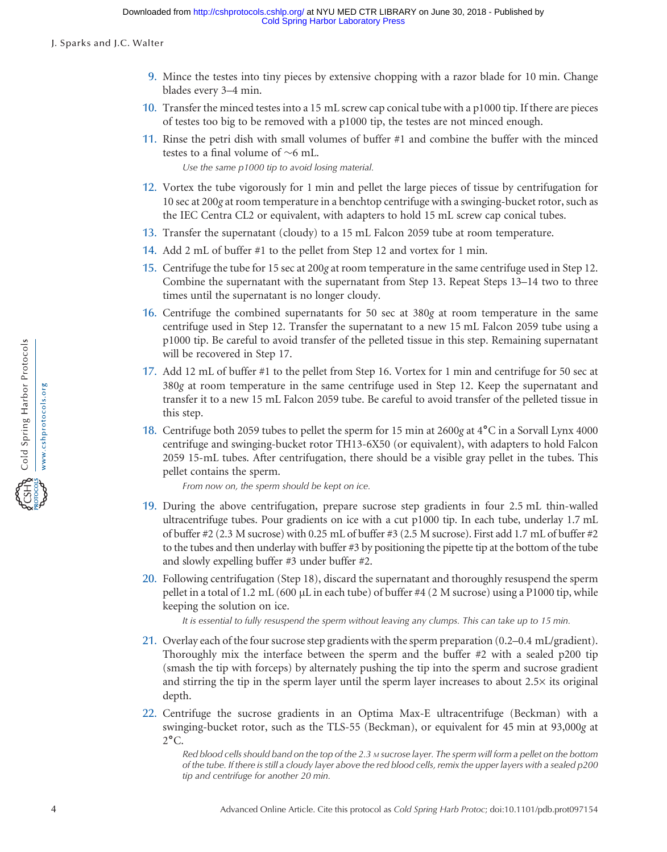- 9. Mince the testes into tiny pieces by extensive chopping with a razor blade for 10 min. Change blades every 3–4 min.
- 10. Transfer the minced testes into a 15 mL screw cap conical tube with a p1000 tip. If there are pieces of testes too big to be removed with a p1000 tip, the testes are not minced enough.
- 11. Rinse the petri dish with small volumes of buffer #1 and combine the buffer with the minced testes to a final volume of  $~6$  mL.

Use the same p1000 tip to avoid losing material.

- 12. Vortex the tube vigorously for 1 min and pellet the large pieces of tissue by centrifugation for 10 sec at 200g at room temperature in a benchtop centrifuge with a swinging-bucket rotor, such as the IEC Centra CL2 or equivalent, with adapters to hold 15 mL screw cap conical tubes.
- 13. Transfer the supernatant (cloudy) to a 15 mL Falcon 2059 tube at room temperature.
- 14. Add 2 mL of buffer #1 to the pellet from Step 12 and vortex for 1 min.
- 15. Centrifuge the tube for 15 sec at 200g at room temperature in the same centrifuge used in Step 12. Combine the supernatant with the supernatant from Step 13. Repeat Steps 13–14 two to three times until the supernatant is no longer cloudy.
- 16. Centrifuge the combined supernatants for 50 sec at 380g at room temperature in the same centrifuge used in Step 12. Transfer the supernatant to a new 15 mL Falcon 2059 tube using a p1000 tip. Be careful to avoid transfer of the pelleted tissue in this step. Remaining supernatant will be recovered in Step 17.
- 17. Add 12 mL of buffer #1 to the pellet from Step 16. Vortex for 1 min and centrifuge for 50 sec at 380g at room temperature in the same centrifuge used in Step 12. Keep the supernatant and transfer it to a new 15 mL Falcon 2059 tube. Be careful to avoid transfer of the pelleted tissue in this step.
- 18. Centrifuge both 2059 tubes to pellet the sperm for 15 min at 2600<sup>g</sup> at 4˚C in a Sorvall Lynx 4000 centrifuge and swinging-bucket rotor TH13-6X50 (or equivalent), with adapters to hold Falcon 2059 15-mL tubes. After centrifugation, there should be a visible gray pellet in the tubes. This pellet contains the sperm.

From now on, the sperm should be kept on ice.

- 19. During the above centrifugation, prepare sucrose step gradients in four 2.5 mL thin-walled ultracentrifuge tubes. Pour gradients on ice with a cut p1000 tip. In each tube, underlay 1.7 mL of buffer #2 (2.3 M sucrose) with 0.25 mL of buffer #3 (2.5 M sucrose). First add 1.7 mL of buffer #2 to the tubes and then underlay with buffer #3 by positioning the pipette tip at the bottom of the tube and slowly expelling buffer #3 under buffer #2.
- 20. Following centrifugation (Step 18), discard the supernatant and thoroughly resuspend the sperm pellet in a total of 1.2 mL (600  $\mu$ L in each tube) of buffer #4 (2 M sucrose) using a P1000 tip, while keeping the solution on ice.

It is essential to fully resuspend the sperm without leaving any clumps. This can take up to 15 min.

- 21. Overlay each of the four sucrose step gradients with the sperm preparation (0.2–0.4 mL/gradient). Thoroughly mix the interface between the sperm and the buffer  $#2$  with a sealed p200 tip (smash the tip with forceps) by alternately pushing the tip into the sperm and sucrose gradient and stirring the tip in the sperm layer until the sperm layer increases to about 2.5× its original depth.
- 22. Centrifuge the sucrose gradients in an Optima Max-E ultracentrifuge (Beckman) with a swinging-bucket rotor, such as the TLS-55 (Beckman), or equivalent for 45 min at 93,000g at  $2^{\circ}$ C.

Red blood cells should band on the top of the 2.3 M sucrose layer. The sperm will form a pellet on the bottom of the tube. If there is still a cloudy layer above the red blood cells, remix the upper layers with a sealed p200 tip and centrifuge for another 20 min.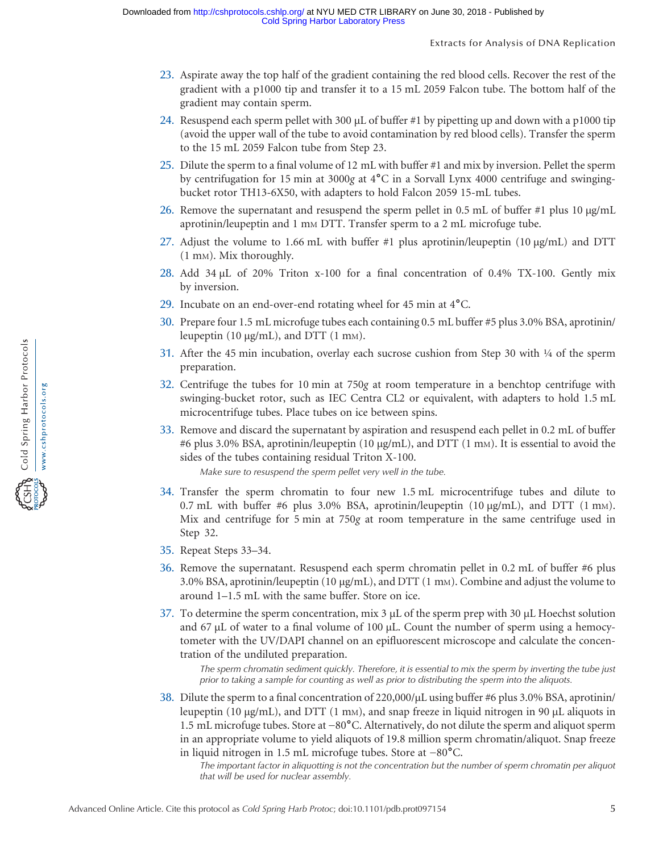- 23. Aspirate away the top half of the gradient containing the red blood cells. Recover the rest of the gradient with a p1000 tip and transfer it to a 15 mL 2059 Falcon tube. The bottom half of the gradient may contain sperm.
- 24. Resuspend each sperm pellet with 300 µL of buffer #1 by pipetting up and down with a p1000 tip (avoid the upper wall of the tube to avoid contamination by red blood cells). Transfer the sperm to the 15 mL 2059 Falcon tube from Step 23.
- 25. Dilute the sperm to a final volume of 12 mL with buffer #1 and mix by inversion. Pellet the sperm by centrifugation for 15 min at 3000<sup>g</sup> at 4˚C in a Sorvall Lynx 4000 centrifuge and swingingbucket rotor TH13-6X50, with adapters to hold Falcon 2059 15-mL tubes.
- 26. Remove the supernatant and resuspend the sperm pellet in 0.5 mL of buffer #1 plus 10  $\mu$ g/mL aprotinin/leupeptin and 1 mm DTT. Transfer sperm to a 2 mL microfuge tube.
- 27. Adjust the volume to 1.66 mL with buffer #1 plus aprotinin/leupeptin (10 µg/mL) and DTT (1 mM). Mix thoroughly.
- 28. Add 34  $\mu$ L of 20% Triton x-100 for a final concentration of 0.4% TX-100. Gently mix by inversion.
- 29. Incubate on an end-over-end rotating wheel for 45 min at 4˚C.
- 30. Prepare four 1.5 mL microfuge tubes each containing 0.5 mL buffer #5 plus 3.0% BSA, aprotinin/ leupeptin  $(10 \mu g/mL)$ , and DTT  $(1 \mu g)$ .
- 31. After the 45 min incubation, overlay each sucrose cushion from Step 30 with  $\frac{1}{4}$  of the sperm preparation.
- 32. Centrifuge the tubes for 10 min at 750g at room temperature in a benchtop centrifuge with swinging-bucket rotor, such as IEC Centra CL2 or equivalent, with adapters to hold 1.5 mL microcentrifuge tubes. Place tubes on ice between spins.
- 33. Remove and discard the supernatant by aspiration and resuspend each pellet in 0.2 mL of buffer #6 plus 3.0% BSA, aprotinin/leupeptin (10 µg/mL), and DTT (1 mM). It is essential to avoid the sides of the tubes containing residual Triton X-100.

Make sure to resuspend the sperm pellet very well in the tube.

- 34. Transfer the sperm chromatin to four new 1.5 mL microcentrifuge tubes and dilute to 0.7 mL with buffer #6 plus 3.0% BSA, aprotinin/leupeptin  $(10 \mu g/mL)$ , and DTT  $(1 \mu m)$ . Mix and centrifuge for 5 min at 750g at room temperature in the same centrifuge used in Step 32.
- 35. Repeat Steps 33–34.
- 36. Remove the supernatant. Resuspend each sperm chromatin pellet in 0.2 mL of buffer #6 plus 3.0% BSA, aprotinin/leupeptin (10  $\mu$ g/mL), and DTT (1 mm). Combine and adjust the volume to around 1–1.5 mL with the same buffer. Store on ice.
- 37. To determine the sperm concentration, mix  $3 \mu$  of the sperm prep with  $30 \mu$ . Hoechst solution and 67  $\mu$ L of water to a final volume of 100  $\mu$ L. Count the number of sperm using a hemocytometer with the UV/DAPI channel on an epifluorescent microscope and calculate the concentration of the undiluted preparation.

The sperm chromatin sediment quickly. Therefore, it is essential to mix the sperm by inverting the tube just prior to taking a sample for counting as well as prior to distributing the sperm into the aliquots.

38. Dilute the sperm to a final concentration of 220,000/ $\mu$ L using buffer #6 plus 3.0% BSA, aprotinin/ leupeptin (10  $\mu$ g/mL), and DTT (1 m<sub>M</sub>), and snap freeze in liquid nitrogen in 90  $\mu$ L aliquots in The sperm chromatin sediment quickly. Therefore, it is essential to mix the sperm by inverting the tube just<br>prior to taking a sample for counting as well as prior to distributing the sperm into the aliquots.<br>Dilute the in an appropriate volume to yield aliquots of 19.8 million sperm chromatin/aliquot. Snap freeze *prior to taking a sample tor counting as well as prior to distributing*<br>Dilute the sperm to a final concentration of 220,000/µL using b<br>leupeptin (10 µg/mL), and DTT (1 mM), and snap freeze in lic<br>1.5 mL microfuge tubes

The important factor in aliquotting is not the concentration but the number of sperm chromatin per aliquot that will be used for nuclear assembly.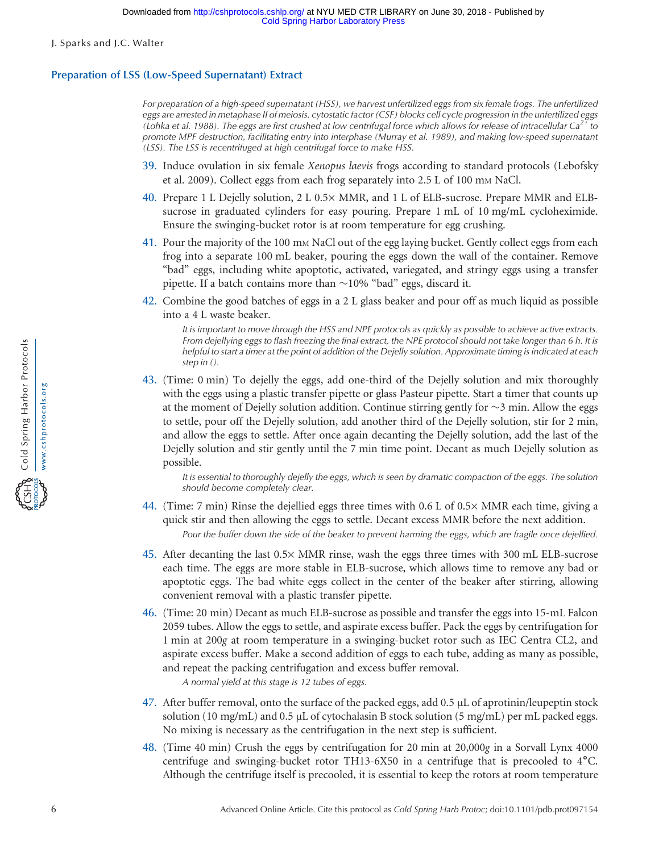## Preparation of LSS (Low-Speed Supernatant) Extract

For preparation of a high-speed supernatant (HSS), we harvest unfertilized eggs from six female frogs. The unfertilized eggs are arrested in metaphase II of meiosis. cytostatic factor (CSF) blocks cell cycle progression in the unfertilized eggs (Lohka et al. 1988). The eggs are first crushed at low centrifugal force which allows for release of intracellular Ca<sup>2+</sup> to promote MPF destruction, facilitating entry into interphase (Murray et al. 1989), and making low-speed supernatant (LSS). The LSS is recentrifuged at high centrifugal force to make HSS.

- 39. Induce ovulation in six female Xenopus laevis frogs according to standard protocols (Lebofsky et al. 2009). Collect eggs from each frog separately into 2.5 L of 100 mm NaCl.
- 40. Prepare 1 L Dejelly solution, 2 L 0.5× MMR, and 1 L of ELB-sucrose. Prepare MMR and ELBsucrose in graduated cylinders for easy pouring. Prepare 1 mL of 10 mg/mL cycloheximide. Ensure the swinging-bucket rotor is at room temperature for egg crushing.
- 41. Pour the majority of the 100 mM NaCl out of the egg laying bucket. Gently collect eggs from each frog into a separate 100 mL beaker, pouring the eggs down the wall of the container. Remove "bad" eggs, including white apoptotic, activated, variegated, and stringy eggs using a transfer pipette. If a batch contains more than  $\sim$ 10% "bad" eggs, discard it.
- 42. Combine the good batches of eggs in a 2 L glass beaker and pour off as much liquid as possible into a 4 L waste beaker.

It is important to move through the HSS and NPE protocols as quickly as possible to achieve active extracts. From dejellying eggs to flash freezing the final extract, the NPE protocol should not take longer than 6 h. It is helpful to start a timer at the point of addition of the Dejelly solution. Approximate timing is indicated at each step in ().

43. (Time: 0 min) To dejelly the eggs, add one-third of the Dejelly solution and mix thoroughly with the eggs using a plastic transfer pipette or glass Pasteur pipette. Start a timer that counts up at the moment of Dejelly solution addition. Continue stirring gently for  $\sim$ 3 min. Allow the eggs to settle, pour off the Dejelly solution, add another third of the Dejelly solution, stir for 2 min, and allow the eggs to settle. After once again decanting the Dejelly solution, add the last of the Dejelly solution and stir gently until the 7 min time point. Decant as much Dejelly solution as possible.

It is essential to thoroughly dejelly the eggs, which is seen by dramatic compaction of the eggs. The solution should become completely clear.

- 44. (Time: 7 min) Rinse the dejellied eggs three times with 0.6 L of 0.5× MMR each time, giving a quick stir and then allowing the eggs to settle. Decant excess MMR before the next addition. Pour the buffer down the side of the beaker to prevent harming the eggs, which are fragile once dejellied.
- 45. After decanting the last 0.5× MMR rinse, wash the eggs three times with 300 mL ELB-sucrose each time. The eggs are more stable in ELB-sucrose, which allows time to remove any bad or apoptotic eggs. The bad white eggs collect in the center of the beaker after stirring, allowing convenient removal with a plastic transfer pipette.
- 46. (Time: 20 min) Decant as much ELB-sucrose as possible and transfer the eggs into 15-mL Falcon 2059 tubes. Allow the eggs to settle, and aspirate excess buffer. Pack the eggs by centrifugation for 1 min at 200g at room temperature in a swinging-bucket rotor such as IEC Centra CL2, and aspirate excess buffer. Make a second addition of eggs to each tube, adding as many as possible, and repeat the packing centrifugation and excess buffer removal.

A normal yield at this stage is 12 tubes of eggs.

- 47. After buffer removal, onto the surface of the packed eggs, add 0.5 µL of aprotinin/leupeptin stock solution (10 mg/mL) and 0.5 µL of cytochalasin B stock solution (5 mg/mL) per mL packed eggs. No mixing is necessary as the centrifugation in the next step is sufficient.
- 48. (Time 40 min) Crush the eggs by centrifugation for 20 min at 20,000g in a Sorvall Lynx 4000 centrifuge and swinging-bucket rotor TH13-6X50 in a centrifuge that is precooled to 4˚C. Although the centrifuge itself is precooled, it is essential to keep the rotors at room temperature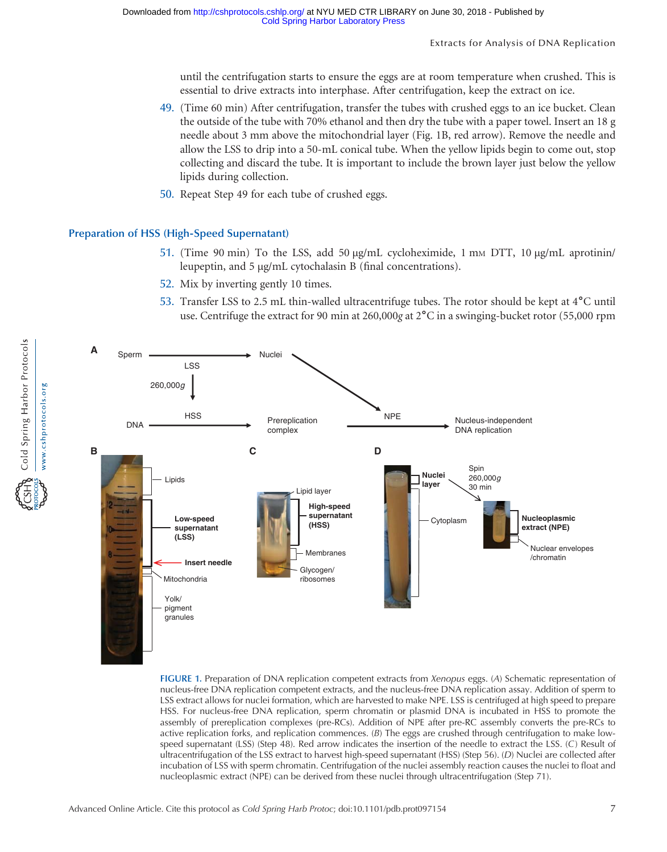until the centrifugation starts to ensure the eggs are at room temperature when crushed. This is essential to drive extracts into interphase. After centrifugation, keep the extract on ice.

- 49. (Time 60 min) After centrifugation, transfer the tubes with crushed eggs to an ice bucket. Clean the outside of the tube with 70% ethanol and then dry the tube with a paper towel. Insert an 18 g needle about 3 mm above the mitochondrial layer (Fig. 1B, red arrow). Remove the needle and allow the LSS to drip into a 50-mL conical tube. When the yellow lipids begin to come out, stop collecting and discard the tube. It is important to include the brown layer just below the yellow lipids during collection.
- 50. Repeat Step 49 for each tube of crushed eggs.

#### Preparation of HSS (High-Speed Supernatant)

- 51. (Time 90 min) To the LSS, add 50  $\mu$ g/mL cycloheximide, 1 mm DTT, 10  $\mu$ g/mL aprotinin/ leupeptin, and 5 µg/mL cytochalasin B (final concentrations).
- 52. Mix by inverting gently 10 times.
- 53. Transfer LSS to 2.5 mL thin-walled ultracentrifuge tubes. The rotor should be kept at 4˚C until use. Centrifuge the extract for 90 min at 260,000g at 2<sup>°</sup>C in a swinging-bucket rotor (55,000 rpm



FIGURE 1. Preparation of DNA replication competent extracts from Xenopus eggs. (A) Schematic representation of nucleus-free DNA replication competent extracts, and the nucleus-free DNA replication assay. Addition of sperm to LSS extract allows for nuclei formation, which are harvested to make NPE. LSS is centrifuged at high speed to prepare HSS. For nucleus-free DNA replication, sperm chromatin or plasmid DNA is incubated in HSS to promote the assembly of prereplication complexes (pre-RCs). Addition of NPE after pre-RC assembly converts the pre-RCs to active replication forks, and replication commences.  $(B)$  The eggs are crushed through centrifugation to make lowspeed supernatant (LSS) (Step 48). Red arrow indicates the insertion of the needle to extract the LSS. (C) Result of ultracentrifugation of the LSS extract to harvest high-speed supernatant (HSS) (Step 56). (D) Nuclei are collected after incubation of LSS with sperm chromatin. Centrifugation of the nuclei assembly reaction causes the nuclei to float and nucleoplasmic extract (NPE) can be derived from these nuclei through ultracentrifugation (Step 71).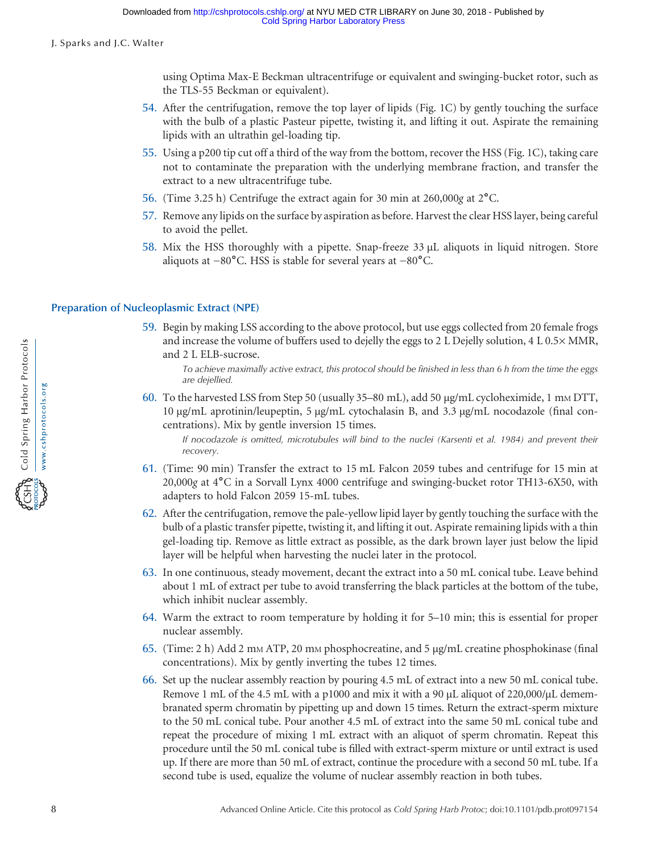using Optima Max-E Beckman ultracentrifuge or equivalent and swinging-bucket rotor, such as the TLS-55 Beckman or equivalent).

- 54. After the centrifugation, remove the top layer of lipids (Fig. 1C) by gently touching the surface with the bulb of a plastic Pasteur pipette, twisting it, and lifting it out. Aspirate the remaining lipids with an ultrathin gel-loading tip.
- 55. Using a p200 tip cut off a third of the way from the bottom, recover the HSS (Fig. 1C), taking care not to contaminate the preparation with the underlying membrane fraction, and transfer the extract to a new ultracentrifuge tube.
- 
- 57. Remove any lipids on the surface by aspiration as before. Harvest the clear HSS layer, being careful to avoid the pellet.
- 56. (Time 3.25 h) Centrifuge the extract again for 30 min at 260,000g at 2<sup>°</sup>C.<br>57. Remove any lipids on the surface by aspiration as before. Harvest the clear H<br>to avoid the pellet.<br>58. Mix the HSS thoroughly with a pip 58. Mix the HSS thoroughly with a pipette. Snap-freeze 33 µL aliquots in liquid nitrogen. Store

## Preparation of Nucleoplasmic Extract (NPE)

59. Begin by making LSS according to the above protocol, but use eggs collected from 20 female frogs and increase the volume of buffers used to dejelly the eggs to 2 L Dejelly solution, 4 L 0.5× MMR, and 2 L ELB-sucrose.

To achieve maximally active extract, this protocol should be finished in less than 6 h from the time the eggs are dejellied.

60. To the harvested LSS from Step 50 (usually 35–80 mL), add 50 µg/mL cycloheximide, 1 mM DTT, 10 µg/mL aprotinin/leupeptin, 5 µg/mL cytochalasin B, and 3.3 µg/mL nocodazole (final concentrations). Mix by gentle inversion 15 times.

If nocodazole is omitted, microtubules will bind to the nuclei (Karsenti et al. 1984) and prevent their recovery.

- 61. (Time: 90 min) Transfer the extract to 15 mL Falcon 2059 tubes and centrifuge for 15 min at 20,000<sup>g</sup> at 4˚C in a Sorvall Lynx 4000 centrifuge and swinging-bucket rotor TH13-6X50, with adapters to hold Falcon 2059 15-mL tubes.
- 62. After the centrifugation, remove the pale-yellow lipid layer by gently touching the surface with the bulb of a plastic transfer pipette, twisting it, and lifting it out. Aspirate remaining lipids with a thin gel-loading tip. Remove as little extract as possible, as the dark brown layer just below the lipid layer will be helpful when harvesting the nuclei later in the protocol.
- 63. In one continuous, steady movement, decant the extract into a 50 mL conical tube. Leave behind about 1 mL of extract per tube to avoid transferring the black particles at the bottom of the tube, which inhibit nuclear assembly.
- 64. Warm the extract to room temperature by holding it for 5–10 min; this is essential for proper nuclear assembly.
- 65. (Time: 2 h) Add 2 mM ATP, 20 mM phosphocreatine, and 5 µg/mL creatine phosphokinase (final concentrations). Mix by gently inverting the tubes 12 times.
- 66. Set up the nuclear assembly reaction by pouring 4.5 mL of extract into a new 50 mL conical tube. Remove 1 mL of the 4.5 mL with a p1000 and mix it with a 90  $\mu$ L aliquot of 220,000/ $\mu$ L demembranated sperm chromatin by pipetting up and down 15 times. Return the extract-sperm mixture to the 50 mL conical tube. Pour another 4.5 mL of extract into the same 50 mL conical tube and repeat the procedure of mixing 1 mL extract with an aliquot of sperm chromatin. Repeat this procedure until the 50 mL conical tube is filled with extract-sperm mixture or until extract is used up. If there are more than 50 mL of extract, continue the procedure with a second 50 mL tube. If a second tube is used, equalize the volume of nuclear assembly reaction in both tubes.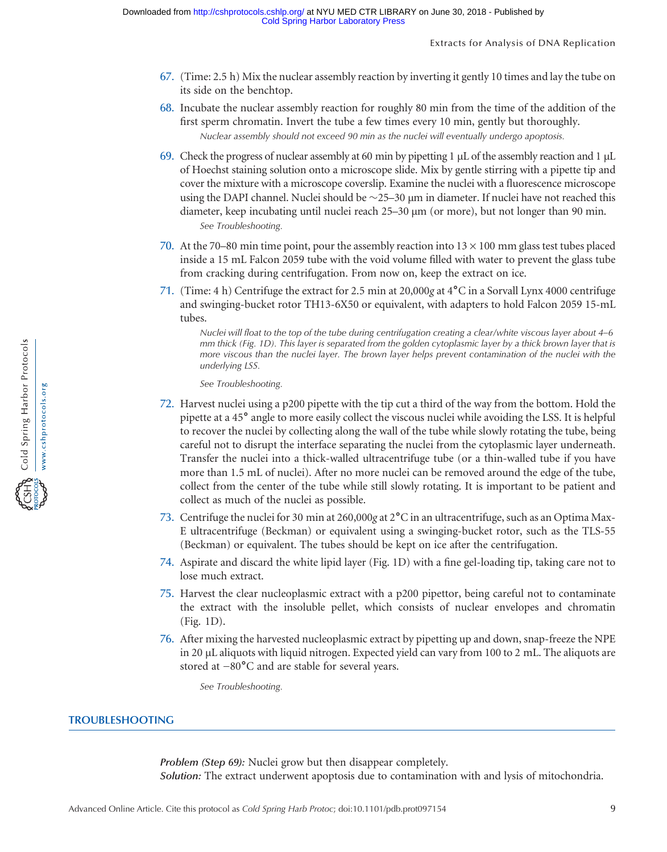- 67. (Time: 2.5 h) Mix the nuclear assembly reaction by inverting it gently 10 times and lay the tube on its side on the benchtop.
- 68. Incubate the nuclear assembly reaction for roughly 80 min from the time of the addition of the first sperm chromatin. Invert the tube a few times every 10 min, gently but thoroughly. Nuclear assembly should not exceed 90 min as the nuclei will eventually undergo apoptosis.
- 69. Check the progress of nuclear assembly at 60 min by pipetting 1 µL of the assembly reaction and 1 µL of Hoechst staining solution onto a microscope slide. Mix by gentle stirring with a pipette tip and cover the mixture with a microscope coverslip. Examine the nuclei with a fluorescence microscope using the DAPI channel. Nuclei should be  $\sim$  25–30 µm in diameter. If nuclei have not reached this diameter, keep incubating until nuclei reach  $25-30 \mu m$  (or more), but not longer than 90 min. See Troubleshooting.
- 70. At the 70–80 min time point, pour the assembly reaction into  $13 \times 100$  mm glass test tubes placed inside a 15 mL Falcon 2059 tube with the void volume filled with water to prevent the glass tube from cracking during centrifugation. From now on, keep the extract on ice.
- 71. (Time: 4 h) Centrifuge the extract for 2.5 min at 20,000g at  $4^{\circ}$ C in a Sorvall Lynx 4000 centrifuge and swinging-bucket rotor TH13-6X50 or equivalent, with adapters to hold Falcon 2059 15-mL tubes.

Nuclei will float to the top of the tube during centrifugation creating a clear/white viscous layer about 4–6 mm thick (Fig. 1D). This layer is separated from the golden cytoplasmic layer by a thick brown layer that is more viscous than the nuclei layer. The brown layer helps prevent contamination of the nuclei with the underlying LSS.

See Troubleshooting.

- 72. Harvest nuclei using a p200 pipette with the tip cut a third of the way from the bottom. Hold the pipette at a 45˚ angle to more easily collect the viscous nuclei while avoiding the LSS. It is helpful to recover the nuclei by collecting along the wall of the tube while slowly rotating the tube, being careful not to disrupt the interface separating the nuclei from the cytoplasmic layer underneath. Transfer the nuclei into a thick-walled ultracentrifuge tube (or a thin-walled tube if you have more than 1.5 mL of nuclei). After no more nuclei can be removed around the edge of the tube, collect from the center of the tube while still slowly rotating. It is important to be patient and collect as much of the nuclei as possible.
- 73. Centrifuge the nuclei for 30 min at 260,000g at  $2^{\circ}$ C in an ultracentrifuge, such as an Optima Max-E ultracentrifuge (Beckman) or equivalent using a swinging-bucket rotor, such as the TLS-55 (Beckman) or equivalent. The tubes should be kept on ice after the centrifugation.
- 74. Aspirate and discard the white lipid layer (Fig. 1D) with a fine gel-loading tip, taking care not to lose much extract.
- 75. Harvest the clear nucleoplasmic extract with a p200 pipettor, being careful not to contaminate the extract with the insoluble pellet, which consists of nuclear envelopes and chromatin (Fig. 1D).
- 76. After mixing the harvested nucleoplasmic extract by pipetting up and down, snap-freeze the NPE in 20 µL aliquots with liquid nitrogen. Expected yield can vary from 100 to 2 mL. The aliquots are stored at <sup>−</sup><sup>80</sup>˚C and are stable for several years.

See Troubleshooting.

## TROUBLESHOOTING

Problem (Step 69): Nuclei grow but then disappear completely.

Solution: The extract underwent apoptosis due to contamination with and lysis of mitochondria.

**FOR Cold Spring Harbor Protocols**<br>CSH Cold Spring Harbor Protocols www.cshprotocols.org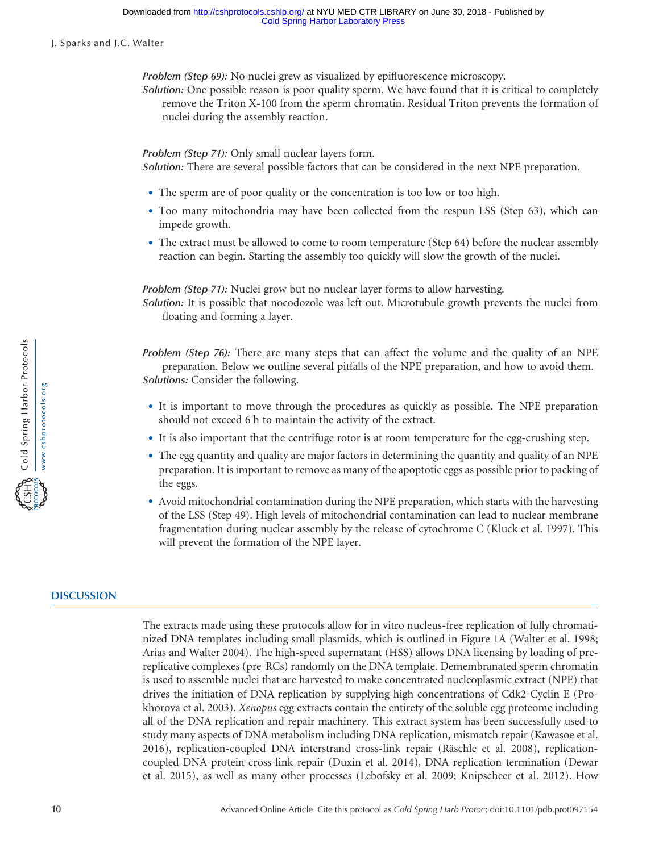Problem (Step 69): No nuclei grew as visualized by epifluorescence microscopy.

Solution: One possible reason is poor quality sperm. We have found that it is critical to completely remove the Triton X-100 from the sperm chromatin. Residual Triton prevents the formation of nuclei during the assembly reaction.

Problem (Step 71): Only small nuclear layers form.

Solution: There are several possible factors that can be considered in the next NPE preparation.

- The sperm are of poor quality or the concentration is too low or too high.
- Too many mitochondria may have been collected from the respun LSS (Step 63), which can impede growth.
- The extract must be allowed to come to room temperature (Step 64) before the nuclear assembly reaction can begin. Starting the assembly too quickly will slow the growth of the nuclei.

Problem (Step 71): Nuclei grow but no nuclear layer forms to allow harvesting.

Solution: It is possible that nocodozole was left out. Microtubule growth prevents the nuclei from floating and forming a layer.

Problem (Step 76): There are many steps that can affect the volume and the quality of an NPE preparation. Below we outline several pitfalls of the NPE preparation, and how to avoid them. Solutions: Consider the following.

- It is important to move through the procedures as quickly as possible. The NPE preparation should not exceed 6 h to maintain the activity of the extract.
- It is also important that the centrifuge rotor is at room temperature for the egg-crushing step.
- The egg quantity and quality are major factors in determining the quantity and quality of an NPE preparation. It is important to remove as many of the apoptotic eggs as possible prior to packing of the eggs.
- Avoid mitochondrial contamination during the NPE preparation, which starts with the harvesting of the LSS (Step 49). High levels of mitochondrial contamination can lead to nuclear membrane fragmentation during nuclear assembly by the release of cytochrome C (Kluck et al. 1997). This will prevent the formation of the NPE layer.

## **DISCUSSION**

The extracts made using these protocols allow for in vitro nucleus-free replication of fully chromatinized DNA templates including small plasmids, which is outlined in Figure 1A (Walter et al. 1998; Arias and Walter 2004). The high-speed supernatant (HSS) allows DNA licensing by loading of prereplicative complexes (pre-RCs) randomly on the DNA template. Demembranated sperm chromatin is used to assemble nuclei that are harvested to make concentrated nucleoplasmic extract (NPE) that drives the initiation of DNA replication by supplying high concentrations of Cdk2-Cyclin E (Prokhorova et al. 2003). Xenopus egg extracts contain the entirety of the soluble egg proteome including all of the DNA replication and repair machinery. This extract system has been successfully used to study many aspects of DNA metabolism including DNA replication, mismatch repair (Kawasoe et al. 2016), replication-coupled DNA interstrand cross-link repair (Räschle et al. 2008), replicationcoupled DNA-protein cross-link repair (Duxin et al. 2014), DNA replication termination (Dewar et al. 2015), as well as many other processes (Lebofsky et al. 2009; Knipscheer et al. 2012). How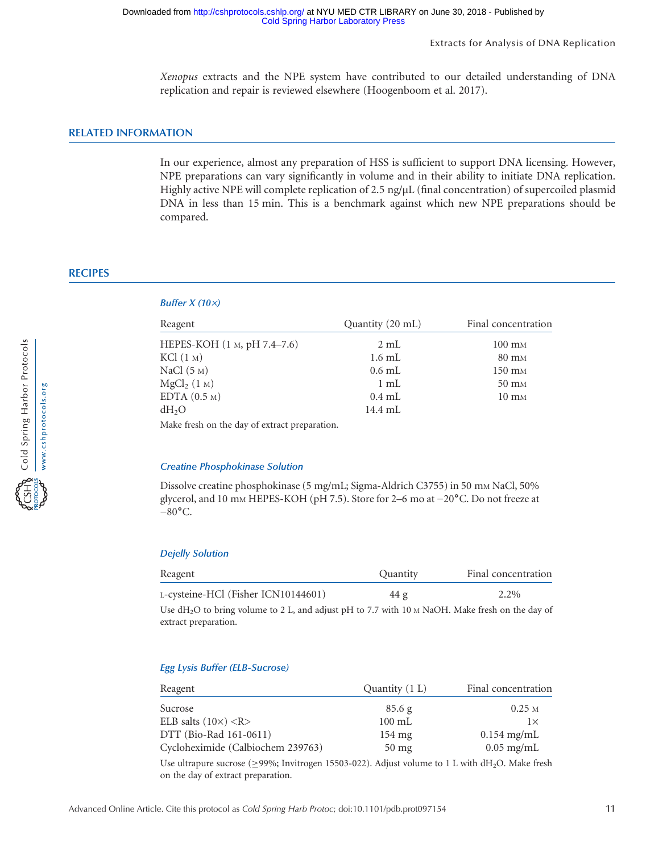Xenopus extracts and the NPE system have contributed to our detailed understanding of DNA replication and repair is reviewed elsewhere (Hoogenboom et al. 2017).

## RELATED INFORMATION

In our experience, almost any preparation of HSS is sufficient to support DNA licensing. However, NPE preparations can vary significantly in volume and in their ability to initiate DNA replication. Highly active NPE will complete replication of 2.5  $\frac{ng}{\mu}$  (final concentration) of supercoiled plasmid DNA in less than 15 min. This is a benchmark against which new NPE preparations should be compared.

## **RECIPES**

#### Buffer  $X(10x)$

| Reagent                     | Quantity (20 mL) | Final concentration |  |
|-----------------------------|------------------|---------------------|--|
| HEPES-KOH (1 м, pH 7.4–7.6) | 2mL              | $100 \text{ mm}$    |  |
| KCl (1 M)                   | $1.6$ mL         | $80 \text{ mM}$     |  |
| NaCl $(5M)$                 | $0.6$ mL         | $150 \text{ mM}$    |  |
| MgCl <sub>2</sub> (1 M)     | $1 \text{ mL}$   | $50 \text{ mm}$     |  |
| EDTA $(0.5M)$               | $0.4$ mL         | $10 \text{ mM}$     |  |
| $dH_2O$                     | 14.4 mL          |                     |  |
|                             |                  |                     |  |

Make fresh on the day of extract preparation.

#### Creatine Phosphokinase Solution

Dissolve creatine phosphokinase (5 mg/mL; Sigma-Aldrich C3755) in 50 mm NaCl, 50% glycerol, and 10 mm HEPES-KOH (pH 7.5). Store for 2–6 mo at −20°C. Do not freeze at  $-80$ °C.

#### Dejelly Solution

| Reagent                             | Quantity | Final concentration |
|-------------------------------------|----------|---------------------|
| L-cysteine-HCl (Fisher ICN10144601) | 44 g     | 2.2%                |
|                                     |          |                     |

Use  $dH_2O$  to bring volume to 2 L, and adjust pH to 7.7 with 10  $\text{M NaOH}$ . Make fresh on the day of extract preparation.

#### Egg Lysis Buffer (ELB-Sucrose)

| Reagent                           | Quantity $(1 L)$ | Final concentration |
|-----------------------------------|------------------|---------------------|
| Sucrose                           | 85.6 g           | 0.25 <sub>M</sub>   |
| ELB salts $(10\times)$ <r></r>    | $100 \text{ mL}$ | $1\times$           |
| DTT (Bio-Rad 161-0611)            | $154 \text{ mg}$ | $0.154$ mg/mL       |
| Cycloheximide (Calbiochem 239763) | $50 \text{ mg}$  | $0.05$ mg/mL        |

Use ultrapure sucrose (≥99%; Invitrogen 15503-022). Adjust volume to 1 L with dH2O. Make fresh on the day of extract preparation.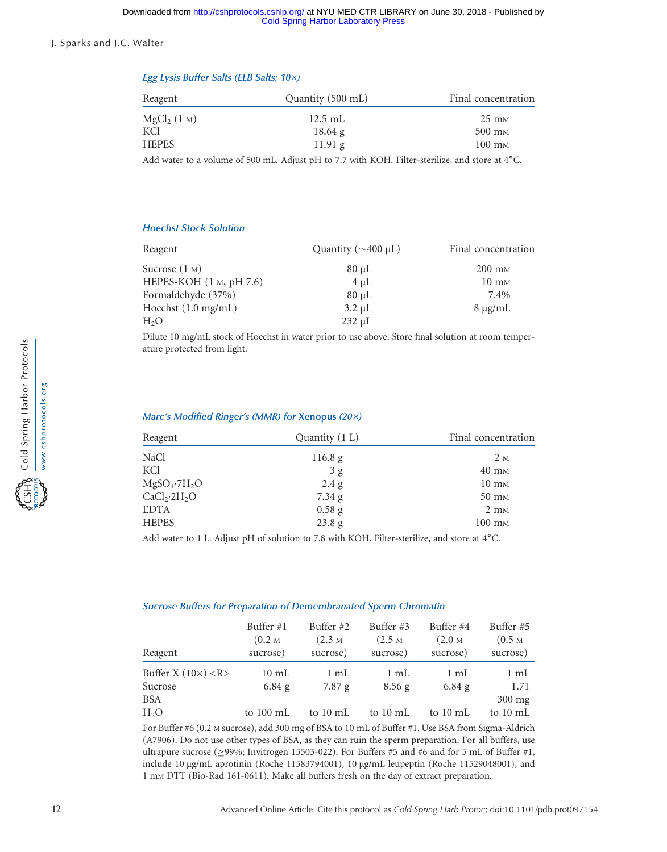#### Egg Lysis Buffer Salts (ELB Salts; 10×)

| Reagent                 | Quantity (500 mL) | Final concentration |
|-------------------------|-------------------|---------------------|
| MgCl <sub>2</sub> (1 M) | $12.5$ mL         | $25 \text{ mm}$     |
| KCl                     | $18.64$ g         | $500 \text{ mm}$    |
| <b>HEPES</b>            | $11.91$ g         | $100 \text{ mm}$    |
|                         |                   |                     |

Add water to a volume of 500 mL. Adjust pH to 7.7 with KOH. Filter-sterilize, and store at 4˚C.

#### Hoechst Stock Solution

| Reagent                       | Quantity ( $\sim$ 400 µL) | Final concentration |  |
|-------------------------------|---------------------------|---------------------|--|
| Sucrose $(1 M)$               | $80 \mu L$                | $200 \text{ mm}$    |  |
| HEPES-KOH $(1 M, pH 7.6)$     | $4 \mu L$                 | $10 \text{ mM}$     |  |
| Formaldehyde (37%)            | $80 \mu L$                | 7.4%                |  |
| Hoechst $(1.0 \text{ mg/mL})$ | $3.2 \mu L$               | $8 \mu g/mL$        |  |
| H <sub>2</sub> O              | $232 \mu L$               |                     |  |

Dilute 10 mg/mL stock of Hoechst in water prior to use above. Store final solution at room temperature protected from light.

#### Marc's Modified Ringer's (MMR) for Xenopus (20×)

| Reagent                              | Quantity (1 L) | Final concentration |  |
|--------------------------------------|----------------|---------------------|--|
| NaCl                                 | 116.8 g        | 2 M                 |  |
| KCl                                  | 3g             | $40 \text{ mM}$     |  |
| $MgSO_4$ -7 $H_2O$                   | 2.4 g          | $10 \text{ mM}$     |  |
| CaCl <sub>2</sub> ·2H <sub>2</sub> O | 7.34 g         | $50 \text{ mm}$     |  |
| <b>EDTA</b>                          | $0.58$ g       | $2 \text{ mM}$      |  |
| <b>HEPES</b>                         | 23.8 g         | $100 \text{ mm}$    |  |

Add water to 1 L. Adjust pH of solution to 7.8 with KOH. Filter-sterilize, and store at 4°C.

#### Sucrose Buffers for Preparation of Demembranated Sperm Chromatin

| Reagent                       | Buffer #1           | Buffer #2           | Buffer #3           | Buffer #4           | Buffer #5                              |
|-------------------------------|---------------------|---------------------|---------------------|---------------------|----------------------------------------|
|                               | (0.2 <sub>M</sub> ) | (2.3 <sub>M</sub> ) | (2.5 <sub>M</sub> ) | (2.0 <sub>M</sub> ) | (0.5 <sub>M</sub> )                    |
|                               | sucrose)            | sucrose)            | sucrose)            | sucrose)            | sucrose)                               |
| Buffer X $(10\times)$ <r></r> | $10 \text{ mL}$     | $1 \text{ mL}$      | $1 \text{ mL}$      | $1 \text{ mL}$      | 1 mL                                   |
| Sucrose                       | $6.84$ g            | 7.87 g              | $8.56$ g            | $6.84$ g            | 1.71                                   |
| BSA<br>H <sub>2</sub> O       | to $100 \text{ mL}$ | to $10 \text{ mL}$  | to 10 mL            | to 10 mL            | $300 \text{ mg}$<br>to $10 \text{ mL}$ |

For Buffer #6 (0.2 M sucrose), add 300 mg of BSA to 10 mL of Buffer #1. Use BSA from Sigma-Aldrich (A7906). Do not use other types of BSA, as they can ruin the sperm preparation. For all buffers, use ultrapure sucrose ( $\geq$ 99%; Invitrogen 15503-022). For Buffers #5 and #6 and for 5 mL of Buffer #1, include 10 µg/mL aprotinin (Roche 11583794001), 10 µg/mL leupeptin (Roche 11529048001), and 1 mM DTT (Bio-Rad 161-0611). Make all buffers fresh on the day of extract preparation.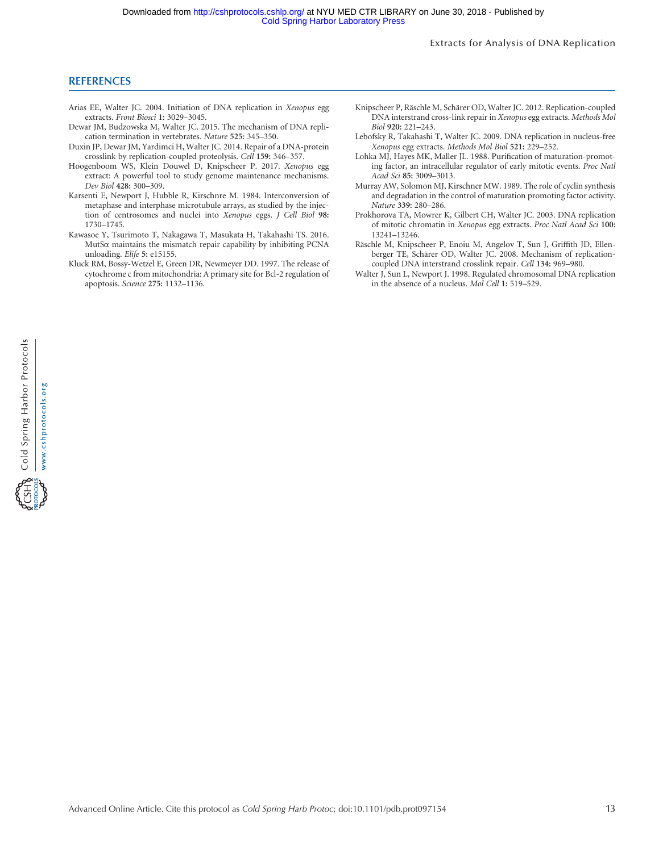#### **REFERENCES**

- Arias EE, Walter JC. 2004. Initiation of DNA replication in Xenopus egg extracts. Front Biosci 1: 3029–3045.
- Dewar JM, Budzowska M, Walter JC. 2015. The mechanism of DNA replication termination in vertebrates. Nature 525: 345–350.
- Duxin JP, Dewar JM, Yardimci H, Walter JC. 2014. Repair of a DNA-protein crosslink by replication-coupled proteolysis. Cell 159: 346–357.
- Hoogenboom WS, Klein Douwel D, Knipscheer P. 2017. Xenopus egg extract: A powerful tool to study genome maintenance mechanisms. Dev Biol 428: 300–309.
- Karsenti E, Newport J, Hubble R, Kirschnre M. 1984. Interconversion of metaphase and interphase microtubule arrays, as studied by the injection of centrosomes and nuclei into Xenopus eggs. J Cell Biol 98: 1730–1745.
- Kawasoe Y, Tsurimoto T, Nakagawa T, Masukata H, Takahashi TS. 2016. MutSα maintains the mismatch repair capability by inhibiting PCNA unloading. Elife 5: e15155.
- Kluck RM, Bossy-Wetzel E, Green DR, Newmeyer DD. 1997. The release of cytochrome c from mitochondria: A primary site for Bcl-2 regulation of apoptosis. Science 275: 1132–1136.
- Knipscheer P, Räschle M, Schärer OD, Walter JC. 2012. Replication-coupled DNA interstrand cross-link repair in Xenopus egg extracts. Methods Mol Biol 920: 221–243.
- Lebofsky R, Takahashi T, Walter JC. 2009. DNA replication in nucleus-free Xenopus egg extracts. Methods Mol Biol 521: 229–252.
- Lohka MJ, Hayes MK, Maller JL. 1988. Purification of maturation-promoting factor, an intracellular regulator of early mitotic events. Proc Natl Acad Sci 85: 3009–3013.
- Murray AW, Solomon MJ, Kirschner MW. 1989. The role of cyclin synthesis and degradation in the control of maturation promoting factor activity. Nature 339: 280–286.
- Prokhorova TA, Mowrer K, Gilbert CH, Walter JC. 2003. DNA replication of mitotic chromatin in Xenopus egg extracts. Proc Natl Acad Sci 100: 13241–13246.
- Räschle M, Knipscheer P, Enoiu M, Angelov T, Sun J, Griffith JD, Ellenberger TE, Schärer OD, Walter JC. 2008. Mechanism of replicationcoupled DNA interstrand crosslink repair. Cell 134: 969–980.
- Walter J, Sun L, Newport J. 1998. Regulated chromosomal DNA replication in the absence of a nucleus. Mol Cell 1: 519–529.